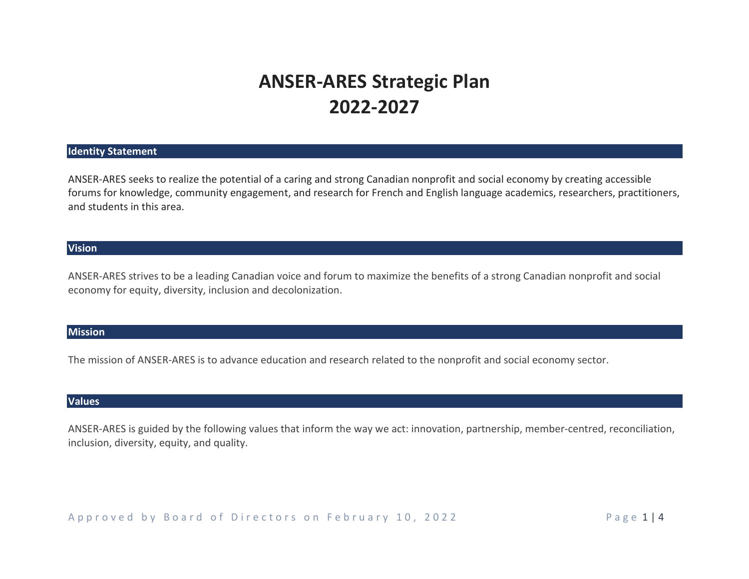# **ANSER-ARES Strategic Plan 2022-2027**

#### **Identity Statement**

ANSER-ARES seeks to realize the potential of a caring and strong Canadian nonprofit and social economy by creating accessible forums for knowledge, community engagement, and research for French and English language academics, researchers, practitioners, and students in this area.

#### **Vision**

ANSER-ARES strives to be a leading Canadian voice and forum to maximize the benefits of a strong Canadian nonprofit and social economy for equity, diversity, inclusion and decolonization.

#### **Mission**

The mission of ANSER-ARES is to advance education and research related to the nonprofit and social economy sector.

#### **Values**

ANSER-ARES is guided by the following values that inform the way we act: innovation, partnership, member-centred, reconciliation, inclusion, diversity, equity, and quality.

A p p r o v e d b y B o a r d o f Directors on February 10, 2022 The state of P age 1 | 4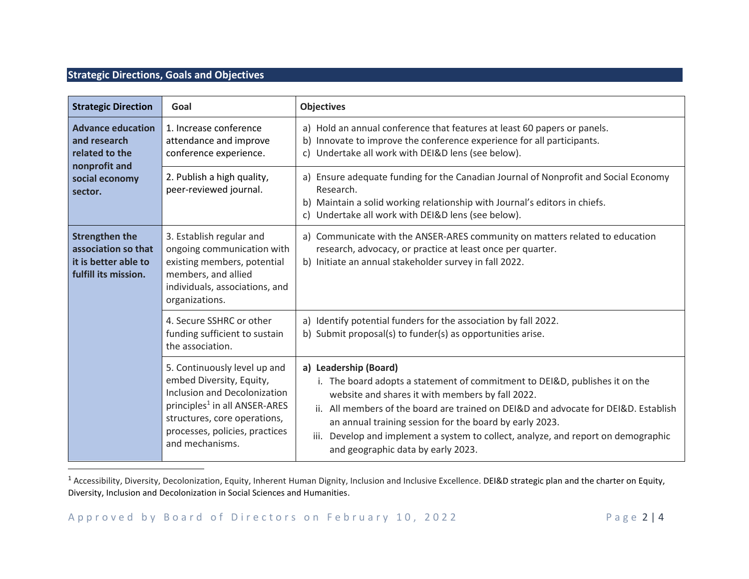### **Strategic Directions, Goals and Objectives**

| <b>Strategic Direction</b>                                                                               | Goal                                                                                                                                                                                                                       | <b>Objectives</b>                                                                                                                                                                                                                                                                                                                                                                                                                         |
|----------------------------------------------------------------------------------------------------------|----------------------------------------------------------------------------------------------------------------------------------------------------------------------------------------------------------------------------|-------------------------------------------------------------------------------------------------------------------------------------------------------------------------------------------------------------------------------------------------------------------------------------------------------------------------------------------------------------------------------------------------------------------------------------------|
| <b>Advance education</b><br>and research<br>related to the<br>nonprofit and<br>social economy<br>sector. | 1. Increase conference<br>attendance and improve<br>conference experience.                                                                                                                                                 | a) Hold an annual conference that features at least 60 papers or panels.<br>b) Innovate to improve the conference experience for all participants.<br>c) Undertake all work with DEI&D lens (see below).                                                                                                                                                                                                                                  |
|                                                                                                          | 2. Publish a high quality,<br>peer-reviewed journal.                                                                                                                                                                       | a) Ensure adequate funding for the Canadian Journal of Nonprofit and Social Economy<br>Research.<br>b) Maintain a solid working relationship with Journal's editors in chiefs.<br>c) Undertake all work with DEI&D lens (see below).                                                                                                                                                                                                      |
| <b>Strengthen the</b><br>association so that<br>it is better able to<br>fulfill its mission.             | 3. Establish regular and<br>ongoing communication with<br>existing members, potential<br>members, and allied<br>individuals, associations, and<br>organizations.                                                           | a) Communicate with the ANSER-ARES community on matters related to education<br>research, advocacy, or practice at least once per quarter.<br>b) Initiate an annual stakeholder survey in fall 2022.                                                                                                                                                                                                                                      |
|                                                                                                          | 4. Secure SSHRC or other<br>funding sufficient to sustain<br>the association.                                                                                                                                              | a) Identify potential funders for the association by fall 2022.<br>b) Submit proposal(s) to funder(s) as opportunities arise.                                                                                                                                                                                                                                                                                                             |
|                                                                                                          | 5. Continuously level up and<br>embed Diversity, Equity,<br>Inclusion and Decolonization<br>principles <sup>1</sup> in all ANSER-ARES<br>structures, core operations,<br>processes, policies, practices<br>and mechanisms. | a) Leadership (Board)<br>i. The board adopts a statement of commitment to DEI&D, publishes it on the<br>website and shares it with members by fall 2022.<br>ii. All members of the board are trained on DEI&D and advocate for DEI&D. Establish<br>an annual training session for the board by early 2023.<br>Develop and implement a system to collect, analyze, and report on demographic<br>iii.<br>and geographic data by early 2023. |

<sup>1</sup> Accessibility, Diversity, Decolonization, Equity, Inherent Human Dignity, Inclusion and Inclusive Excellence. DEI&D strategic plan and the charter on Equity, Diversity, Inclusion and Decolonization in Social Sciences and Humanities.

Approved by Board of Directors on February 10, 2022 Page 2|4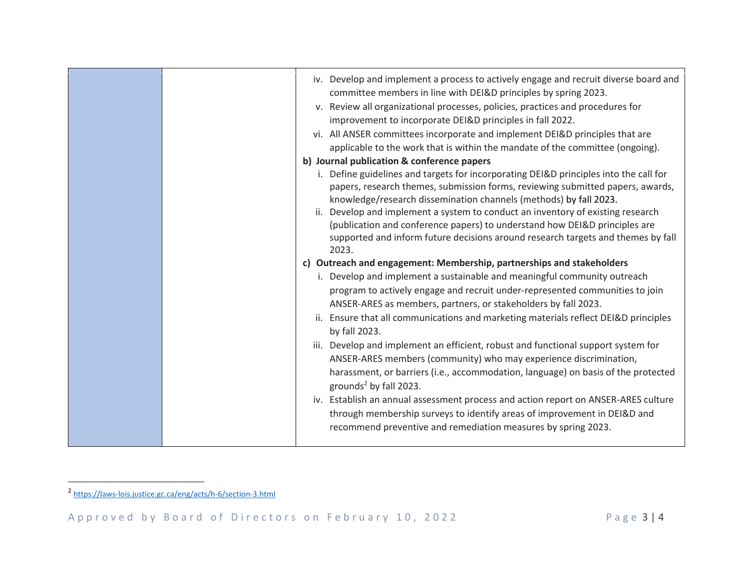|  | iv. Develop and implement a process to actively engage and recruit diverse board and  |
|--|---------------------------------------------------------------------------------------|
|  | committee members in line with DEI&D principles by spring 2023.                       |
|  | v. Review all organizational processes, policies, practices and procedures for        |
|  | improvement to incorporate DEI&D principles in fall 2022.                             |
|  | vi. All ANSER committees incorporate and implement DEI&D principles that are          |
|  | applicable to the work that is within the mandate of the committee (ongoing).         |
|  | b) Journal publication & conference papers                                            |
|  | i. Define guidelines and targets for incorporating DEI&D principles into the call for |
|  | papers, research themes, submission forms, reviewing submitted papers, awards,        |
|  | knowledge/research dissemination channels (methods) by fall 2023.                     |
|  | ii. Develop and implement a system to conduct an inventory of existing research       |
|  | (publication and conference papers) to understand how DEI&D principles are            |
|  | supported and inform future decisions around research targets and themes by fall      |
|  | 2023.                                                                                 |
|  | c) Outreach and engagement: Membership, partnerships and stakeholders                 |
|  | i. Develop and implement a sustainable and meaningful community outreach              |
|  | program to actively engage and recruit under-represented communities to join          |
|  | ANSER-ARES as members, partners, or stakeholders by fall 2023.                        |
|  | ii. Ensure that all communications and marketing materials reflect DEI&D principles   |
|  | by fall 2023.                                                                         |
|  | iii. Develop and implement an efficient, robust and functional support system for     |
|  | ANSER-ARES members (community) who may experience discrimination,                     |
|  | harassment, or barriers (i.e., accommodation, language) on basis of the protected     |
|  | grounds <sup>2</sup> by fall 2023.                                                    |
|  | iv. Establish an annual assessment process and action report on ANSER-ARES culture    |
|  | through membership surveys to identify areas of improvement in DEI&D and              |
|  | recommend preventive and remediation measures by spring 2023.                         |
|  |                                                                                       |

<sup>&</sup>lt;sup>2</sup> <https://laws-lois.justice.gc.ca/eng/acts/h-6/section-3.html>